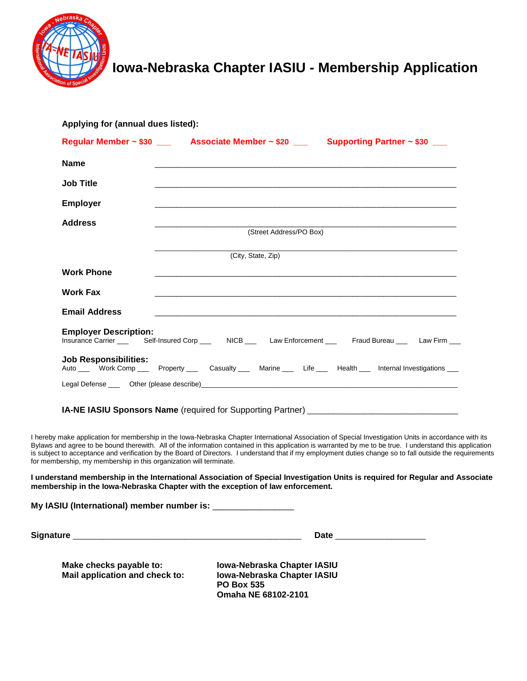

# **Iowa-Nebraska Chapter IASIU - Membership Application**

|                                                                    | Regular Member ~ \$30 _______ Associate Member ~ \$20 _______ Supporting Partner ~ \$30 ___                                                                                                                                                                                                                                                                                                                                                                                                                                                                                                       |
|--------------------------------------------------------------------|---------------------------------------------------------------------------------------------------------------------------------------------------------------------------------------------------------------------------------------------------------------------------------------------------------------------------------------------------------------------------------------------------------------------------------------------------------------------------------------------------------------------------------------------------------------------------------------------------|
| <b>Name</b>                                                        |                                                                                                                                                                                                                                                                                                                                                                                                                                                                                                                                                                                                   |
| <b>Job Title</b>                                                   |                                                                                                                                                                                                                                                                                                                                                                                                                                                                                                                                                                                                   |
| <b>Employer</b>                                                    |                                                                                                                                                                                                                                                                                                                                                                                                                                                                                                                                                                                                   |
| <b>Address</b>                                                     |                                                                                                                                                                                                                                                                                                                                                                                                                                                                                                                                                                                                   |
|                                                                    | (Street Address/PO Box)                                                                                                                                                                                                                                                                                                                                                                                                                                                                                                                                                                           |
|                                                                    | (City, State, Zip)                                                                                                                                                                                                                                                                                                                                                                                                                                                                                                                                                                                |
| <b>Work Phone</b>                                                  |                                                                                                                                                                                                                                                                                                                                                                                                                                                                                                                                                                                                   |
| <b>Work Fax</b>                                                    |                                                                                                                                                                                                                                                                                                                                                                                                                                                                                                                                                                                                   |
| <b>Email Address</b>                                               |                                                                                                                                                                                                                                                                                                                                                                                                                                                                                                                                                                                                   |
| <b>Employer Description:</b>                                       | Insurance Carrier _____ Self-Insured Corp ____ NICB ___ Law Enforcement ___ Fraud Bureau ___ Law Firm ___                                                                                                                                                                                                                                                                                                                                                                                                                                                                                         |
|                                                                    |                                                                                                                                                                                                                                                                                                                                                                                                                                                                                                                                                                                                   |
| <b>Job Responsibilities:</b>                                       |                                                                                                                                                                                                                                                                                                                                                                                                                                                                                                                                                                                                   |
|                                                                    | Auto ____ Work Comp ____ Property ____ Casualty ____ Marine ____ Life ____ Health ___ Internal Investigations ___                                                                                                                                                                                                                                                                                                                                                                                                                                                                                 |
|                                                                    |                                                                                                                                                                                                                                                                                                                                                                                                                                                                                                                                                                                                   |
|                                                                    |                                                                                                                                                                                                                                                                                                                                                                                                                                                                                                                                                                                                   |
| for membership, my membership in this organization will terminate. | IA-NE IASIU Sponsors Name (required for Supporting Partner) [2001] [2002] [2002] [2003] [2003] [2003] [2003] [<br>I hereby make application for membership in the Iowa-Nebraska Chapter International Association of Special Investigation Units in accordance with its<br>Bylaws and agree to be bound therewith. All of the information contained in this application is warranted by me to be true. I understand this application<br>is subject to acceptance and verification by the Board of Directors. I understand that if my employment duties change so to fall outside the requirements |

**My IASIU (International) member number is:** \_\_\_\_\_\_\_\_\_\_\_\_\_\_\_\_\_

**Signature** \_\_\_\_\_\_\_\_\_\_\_\_\_\_\_\_\_\_\_\_\_\_\_\_\_\_\_\_\_\_\_\_\_\_\_\_\_\_\_\_\_\_\_\_\_\_\_\_\_\_\_\_\_ **Date** \_\_\_\_\_\_\_\_\_\_\_\_\_\_\_\_\_\_\_\_\_

**Make checks payable to: Iowa-Nebraska Chapter IASIU<br>Mail application and check to: Iowa-Nebraska Chapter IASIU Mail application and check to:** 

**PO Box 535 Omaha NE 68102-2101**